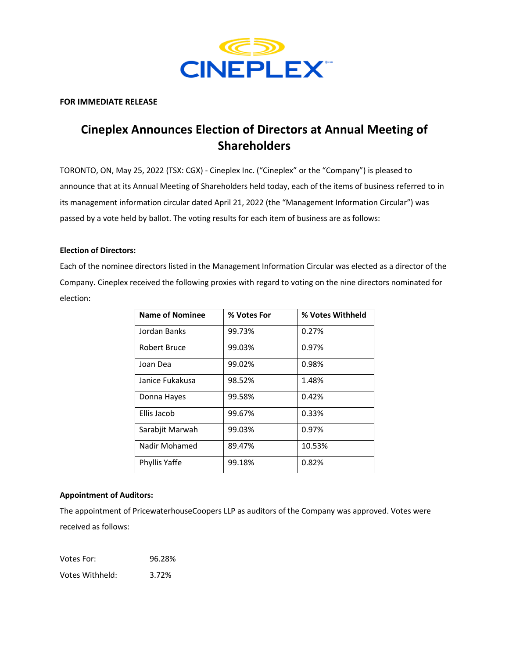

## **FOR IMMEDIATE RELEASE**

# **Cineplex Announces Election of Directors at Annual Meeting of Shareholders**

TORONTO, ON, May 25, 2022 (TSX: CGX) - Cineplex Inc. ("Cineplex" or the "Company") is pleased to announce that at its Annual Meeting of Shareholders held today, each of the items of business referred to in its management information circular dated April 21, 2022 (the "Management Information Circular") was passed by a vote held by ballot. The voting results for each item of business are as follows:

## **Election of Directors:**

Each of the nominee directors listed in the Management Information Circular was elected as a director of the Company. Cineplex received the following proxies with regard to voting on the nine directors nominated for election:

| <b>Name of Nominee</b> | % Votes For | % Votes Withheld |
|------------------------|-------------|------------------|
| Jordan Banks           | 99.73%      | 0.27%            |
| Robert Bruce           | 99.03%      | 0.97%            |
| Joan Dea               | 99.02%      | 0.98%            |
| Janice Fukakusa        | 98.52%      | 1.48%            |
| Donna Hayes            | 99.58%      | 0.42%            |
| Ellis Jacob            | 99.67%      | 0.33%            |
| Sarabjit Marwah        | 99.03%      | 0.97%            |
| Nadir Mohamed          | 89.47%      | 10.53%           |
| Phyllis Yaffe          | 99.18%      | 0.82%            |

## **Appointment of Auditors:**

The appointment of PricewaterhouseCoopers LLP as auditors of the Company was approved. Votes were received as follows:

Votes For: 96.28% Votes Withheld: 3.72%